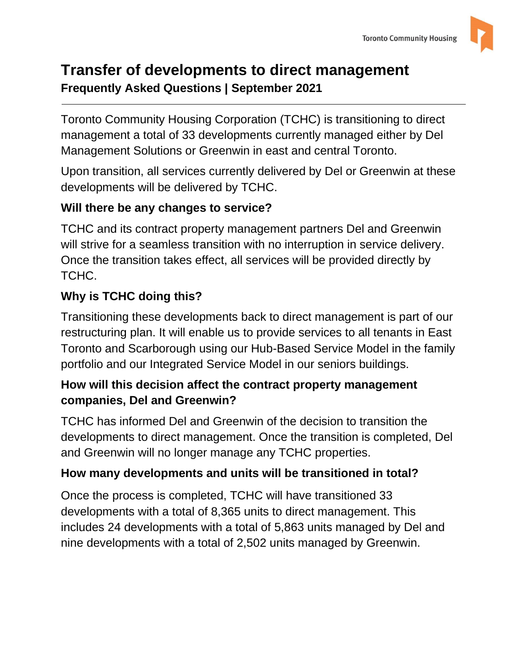

# **Transfer of developments to direct management Frequently Asked Questions | September 2021**

Toronto Community Housing Corporation (TCHC) is transitioning to direct management a total of 33 developments currently managed either by Del Management Solutions or Greenwin in east and central Toronto.

Upon transition, all services currently delivered by Del or Greenwin at these developments will be delivered by TCHC.

# **Will there be any changes to service?**

TCHC and its contract property management partners Del and Greenwin will strive for a seamless transition with no interruption in service delivery. Once the transition takes effect, all services will be provided directly by TCHC.

# **Why is TCHC doing this?**

Transitioning these developments back to direct management is part of our restructuring plan. It will enable us to provide services to all tenants in East Toronto and Scarborough using our Hub-Based Service Model in the family portfolio and our Integrated Service Model in our seniors buildings.

# **How will this decision affect the contract property management companies, Del and Greenwin?**

TCHC has informed Del and Greenwin of the decision to transition the developments to direct management. Once the transition is completed, Del and Greenwin will no longer manage any TCHC properties.

# **How many developments and units will be transitioned in total?**

Once the process is completed, TCHC will have transitioned 33 developments with a total of 8,365 units to direct management. This includes 24 developments with a total of 5,863 units managed by Del and nine developments with a total of 2,502 units managed by Greenwin.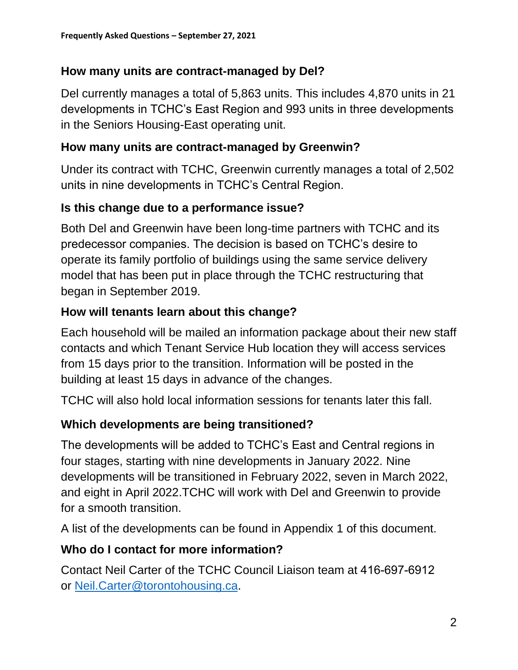#### **How many units are contract-managed by Del?**

Del currently manages a total of 5,863 units. This includes 4,870 units in 21 developments in TCHC's East Region and 993 units in three developments in the Seniors Housing-East operating unit.

#### **How many units are contract-managed by Greenwin?**

Under its contract with TCHC, Greenwin currently manages a total of 2,502 units in nine developments in TCHC's Central Region.

#### **Is this change due to a performance issue?**

Both Del and Greenwin have been long-time partners with TCHC and its predecessor companies. The decision is based on TCHC's desire to operate its family portfolio of buildings using the same service delivery model that has been put in place through the TCHC restructuring that began in September 2019.

#### **How will tenants learn about this change?**

Each household will be mailed an information package about their new staff contacts and which Tenant Service Hub location they will access services from 15 days prior to the transition. Information will be posted in the building at least 15 days in advance of the changes.

TCHC will also hold local information sessions for tenants later this fall.

#### **Which developments are being transitioned?**

The developments will be added to TCHC's East and Central regions in four stages, starting with nine developments in January 2022. Nine developments will be transitioned in February 2022, seven in March 2022, and eight in April 2022.TCHC will work with Del and Greenwin to provide for a smooth transition.

A list of the developments can be found in Appendix 1 of this document.

#### **Who do I contact for more information?**

Contact Neil Carter of the TCHC Council Liaison team at 416-697-6912 [or Neil.Carter@torontohousing.c](mailto:Neil.Carter@torontohousing.ca)a.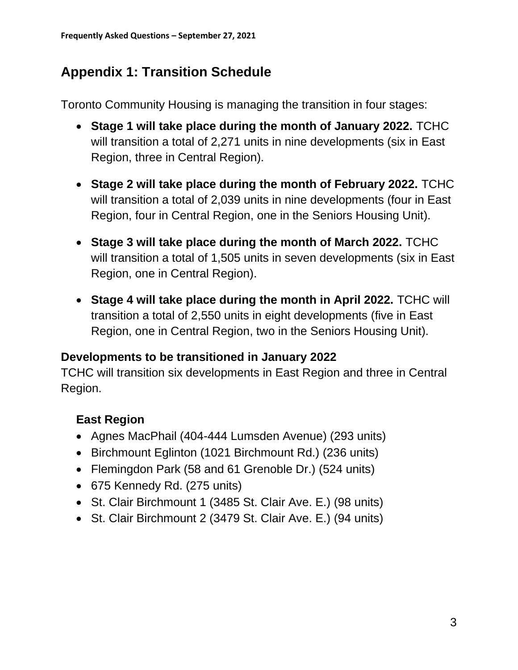# **Appendix 1: Transition Schedule**

Toronto Community Housing is managing the transition in four stages:

- **Stage 1 will take place during the month of January 2022.** TCHC will transition a total of 2,271 units in nine developments (six in East Region, three in Central Region).
- **Stage 2 will take place during the month of February 2022.** TCHC will transition a total of 2,039 units in nine developments (four in East Region, four in Central Region, one in the Seniors Housing Unit).
- **Stage 3 will take place during the month of March 2022.** TCHC will transition a total of 1,505 units in seven developments (six in East Region, one in Central Region).
- **Stage 4 will take place during the month in April 2022.** TCHC will transition a total of 2,550 units in eight developments (five in East Region, one in Central Region, two in the Seniors Housing Unit).

#### **Developments to be transitioned in January 2022**

TCHC will transition six developments in East Region and three in Central Region.

## **East Region**

- Agnes MacPhail (404-444 Lumsden Avenue) (293 units)
- Birchmount Eglinton (1021 Birchmount Rd.) (236 units)
- Flemingdon Park (58 and 61 Grenoble Dr.) (524 units)
- 675 Kennedy Rd. (275 units)
- St. Clair Birchmount 1 (3485 St. Clair Ave. E.) (98 units)
- St. Clair Birchmount 2 (3479 St. Clair Ave. E.) (94 units)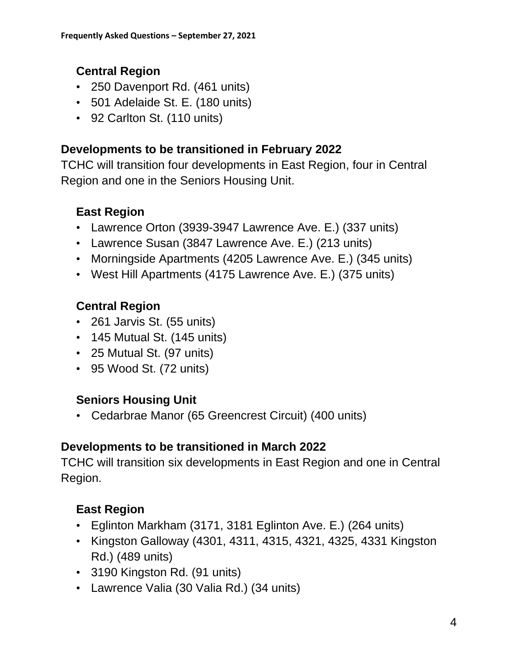## **Central Region**

- 250 Davenport Rd. (461 units)
- 501 Adelaide St. E. (180 units)
- 92 Carlton St. (110 units)

### **Developments to be transitioned in February 2022**

TCHC will transition four developments in East Region, four in Central Region and one in the Seniors Housing Unit.

## **East Region**

- Lawrence Orton (3939-3947 Lawrence Ave. E.) (337 units)
- Lawrence Susan (3847 Lawrence Ave. E.) (213 units)
- Morningside Apartments (4205 Lawrence Ave. E.) (345 units)
- West Hill Apartments (4175 Lawrence Ave. E.) (375 units)

## **Central Region**

- 261 Jarvis St. (55 units)
- 145 Mutual St. (145 units)
- 25 Mutual St. (97 units)
- 95 Wood St. (72 units)

## **Seniors Housing Unit**

• Cedarbrae Manor (65 Greencrest Circuit) (400 units)

### **Developments to be transitioned in March 2022**

TCHC will transition six developments in East Region and one in Central Region.

## **East Region**

- Eglinton Markham (3171, 3181 Eglinton Ave. E.) (264 units)
- Kingston Galloway (4301, 4311, 4315, 4321, 4325, 4331 Kingston Rd.) (489 units)
- 3190 Kingston Rd. (91 units)
- Lawrence Valia (30 Valia Rd.) (34 units)